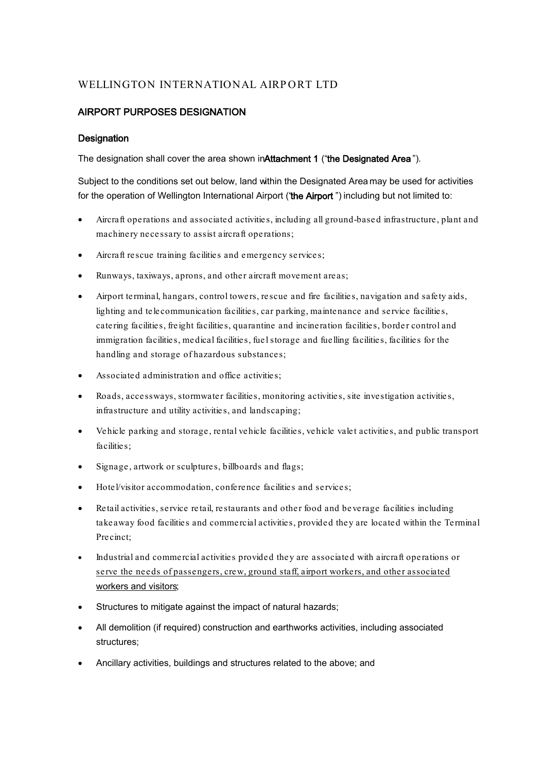# WELLINGTON INTERNATIONAL AIRPORT LTD

# AIRPORT PURPOSES DESIGNATION

## **Designation**

The designation shall cover the area shown in Attachment 1 ("the Designated Area").

Subject to the conditions set out below, land within the Designated Area may be used for activities for the operation of Wellington International Airport ("the Airport") including but not limited to:

- Aircraft operations and associated activities, including all ground-based infrastructure, plant and machinery necessary to assist aircraft operations;
- Aircraft rescue training facilities and emergency services;
- Runways, taxiways, aprons, and other aircraft movement areas;
- Airport terminal, hangars, control towers, rescue and fire facilities, navigation and safety aids, lighting and telecommunication facilities, car parking, maintenance and service facilities, catering facilities, freight facilities, quarantine and incineration facilities, border control and immigration facilities, medical facilities, fuel storage and fuelling facilities, facilities for the handling and storage of hazardous substances;
- Associated administration and office activities;
- Roads, accessways, stormwater facilities, monitoring activities, site investigation activities, infrastructure and utility activities, and landscaping;
- Vehicle parking and storage, rental vehicle facilities, vehicle valet activities, and public transport facilities:
- Signage, artwork or sculptures, billboards and flags;
- Hotel/visitor accommodation, conference facilities and services;
- Retail activities, service retail, restaurants and other food and beverage facilities including takeaway food facilities and commercial activities, provided they are located within the Terminal Precinct;
- Industrial and commercial activities provided they are associated with aircraft operations or serve the needs of passengers, crew, ground staff, airport workers, and other associated workers and visitors;
- Structures to mitigate against the impact of natural hazards;
- All demolition (if required) construction and earthworks activities, including associated structures;
- Ancillary activities, buildings and structures related to the above; and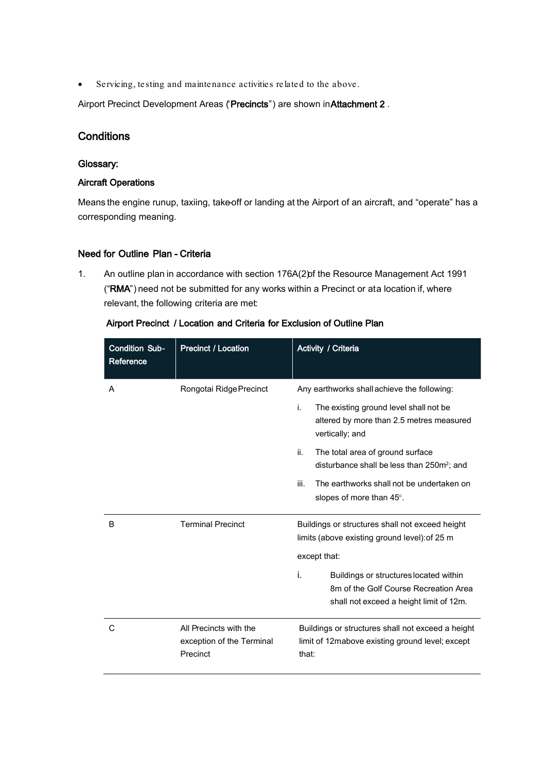• Servicing, testing and maintenance activities related to the above.

Airport Precinct Development Areas ('Precincts") are shown in Attachment 2.

# **Conditions**

#### Glossary:

#### Aircraft Operations

Means the engine runup, taxiing, take-off or landing at the Airport of an aircraft, and "operate" has a corresponding meaning.

### Need for Outline Plan - Criteria

1. An outline plan in accordance with section 176A(2) of the Resource Management Act 1991 ("RMA") need not be submitted for any works within a Precinct or ata location if, where relevant, the following criteria are met:

| <b>Condition Sub-</b><br>Reference | <b>Precinct / Location</b>                                      | Activity / Criteria                                                                                                                                                                                                                                                                                                                              |  |  |
|------------------------------------|-----------------------------------------------------------------|--------------------------------------------------------------------------------------------------------------------------------------------------------------------------------------------------------------------------------------------------------------------------------------------------------------------------------------------------|--|--|
| A                                  | Rongotai Ridge Precinct                                         | Any earthworks shall achieve the following:<br>j.<br>The existing ground level shall not be<br>altered by more than 2.5 metres measured<br>vertically; and<br>ii.<br>The total area of ground surface<br>disturbance shall be less than 250m <sup>2</sup> ; and<br>iii.<br>The earthworks shall not be undertaken on<br>slopes of more than 45°. |  |  |
| B                                  | <b>Terminal Precinct</b>                                        | Buildings or structures shall not exceed height<br>limits (above existing ground level): of 25 m<br>except that:<br>i.<br>Buildings or structures located within<br>8m of the Golf Course Recreation Area<br>shall not exceed a height limit of 12m.                                                                                             |  |  |
| С                                  | All Precincts with the<br>exception of the Terminal<br>Precinct | Buildings or structures shall not exceed a height<br>limit of 12mabove existing ground level; except<br>that:                                                                                                                                                                                                                                    |  |  |

Airport Precinct / Location and Criteria for Exclusion of Outline Plan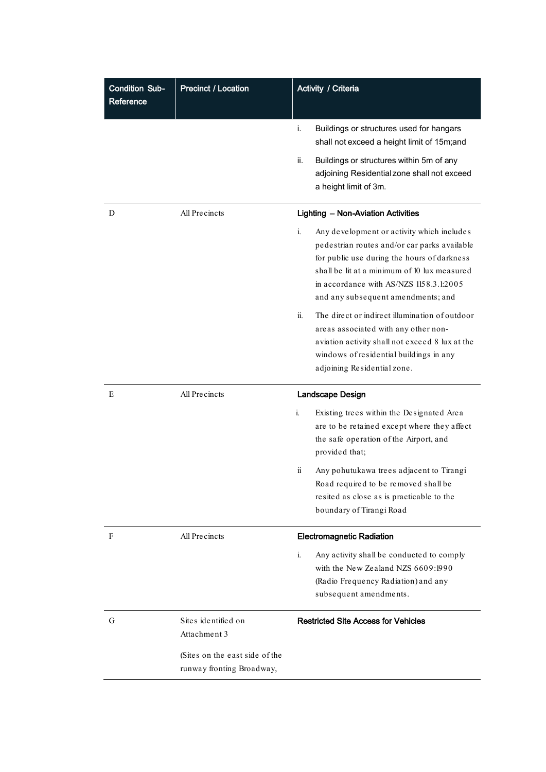| <b>Condition Sub-</b><br>Reference | <b>Precinct / Location</b>                                  | Activity / Criteria                                                                                                                                                                                                                                                              |  |  |
|------------------------------------|-------------------------------------------------------------|----------------------------------------------------------------------------------------------------------------------------------------------------------------------------------------------------------------------------------------------------------------------------------|--|--|
|                                    |                                                             | Buildings or structures used for hangars<br>i.<br>shall not exceed a height limit of 15m;and                                                                                                                                                                                     |  |  |
|                                    |                                                             | ii.<br>Buildings or structures within 5m of any<br>adjoining Residential zone shall not exceed<br>a height limit of 3m.                                                                                                                                                          |  |  |
| D                                  | All Precincts                                               | <b>Lighting - Non-Aviation Activities</b>                                                                                                                                                                                                                                        |  |  |
|                                    |                                                             | i.<br>Any development or activity which includes<br>pedestrian routes and/or car parks available<br>for public use during the hours of darkness<br>shall be lit at a minimum of 10 lux measured<br>in accordance with AS/NZS 1158.3.1:2005<br>and any subsequent amendments; and |  |  |
|                                    |                                                             | ii.<br>The direct or indirect illumination of outdoor<br>areas associated with any other non-<br>aviation activity shall not exceed 8 lux at the<br>windows of residential buildings in any<br>adjoining Residential zone.                                                       |  |  |
| E                                  | All Precincts                                               | <b>Landscape Design</b>                                                                                                                                                                                                                                                          |  |  |
|                                    |                                                             | Existing trees within the Designated Area<br>i.<br>are to be retained except where they affect<br>the safe operation of the Airport, and<br>provided that;                                                                                                                       |  |  |
|                                    |                                                             | $\ddot{\mathbf{n}}$<br>Any pohutukawa trees adjacent to Tirangi<br>Road required to be removed shall be<br>resited as close as is practicable to the<br>boundary of Tirangi Road                                                                                                 |  |  |
| F                                  | All Precincts                                               | <b>Electromagnetic Radiation</b>                                                                                                                                                                                                                                                 |  |  |
|                                    |                                                             | i.<br>Any activity shall be conducted to comply<br>with the New Zealand NZS 6609:1990<br>(Radio Frequency Radiation) and any<br>subsequent amendments.                                                                                                                           |  |  |
| G                                  | Sites identified on<br>Attachment 3                         | <b>Restricted Site Access for Vehicles</b>                                                                                                                                                                                                                                       |  |  |
|                                    | (Sites on the east side of the<br>runway fronting Broadway, |                                                                                                                                                                                                                                                                                  |  |  |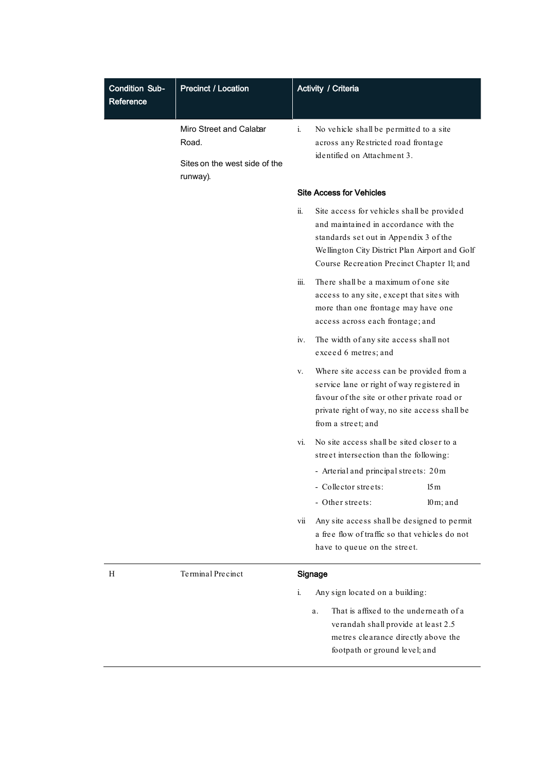| <b>Condition Sub-</b><br>Reference | <b>Precinct / Location</b>                                                    | Activity / Criteria                                                                                                                                                                                                                  |  |  |  |
|------------------------------------|-------------------------------------------------------------------------------|--------------------------------------------------------------------------------------------------------------------------------------------------------------------------------------------------------------------------------------|--|--|--|
|                                    | Miro Street and Calabar<br>Road.<br>Sites on the west side of the<br>runway). | i.<br>No vehicle shall be permitted to a site<br>across any Restricted road frontage<br>identified on Attachment 3.                                                                                                                  |  |  |  |
|                                    |                                                                               | <b>Site Access for Vehicles</b>                                                                                                                                                                                                      |  |  |  |
|                                    |                                                                               | ii.<br>Site access for vehicles shall be provided<br>and maintained in accordance with the<br>standards set out in Appendix 3 of the<br>Wellington City District Plan Airport and Golf<br>Course Recreation Precinct Chapter 11; and |  |  |  |
|                                    |                                                                               | There shall be a maximum of one site<br>iii.<br>access to any site, except that sites with<br>more than one frontage may have one<br>access across each frontage; and                                                                |  |  |  |
|                                    |                                                                               | The width of any site access shall not<br>iv.<br>exceed 6 metres; and                                                                                                                                                                |  |  |  |
|                                    |                                                                               | Where site access can be provided from a<br>v.<br>service lane or right of way registered in<br>favour of the site or other private road or<br>private right of way, no site access shall be<br>from a street; and                   |  |  |  |
|                                    |                                                                               | No site access shall be sited closer to a<br>vi.<br>street intersection than the following:                                                                                                                                          |  |  |  |
|                                    |                                                                               | - Arterial and principal streets: 20m                                                                                                                                                                                                |  |  |  |
|                                    |                                                                               | - Collector streets:<br>15m                                                                                                                                                                                                          |  |  |  |
|                                    |                                                                               | - Other streets:<br>$10 \,\mathrm{m}$ ; and<br>Any site access shall be designed to permit<br>vii<br>a free flow of traffic so that vehicles do not<br>have to queue on the street.                                                  |  |  |  |
| Н                                  | Terminal Precinct                                                             | Signage                                                                                                                                                                                                                              |  |  |  |
|                                    |                                                                               | i.<br>Any sign located on a building:                                                                                                                                                                                                |  |  |  |
|                                    |                                                                               | That is affixed to the underneath of a<br>a.<br>verandah shall provide at least 2.5<br>metres clearance directly above the<br>footpath or ground level; and                                                                          |  |  |  |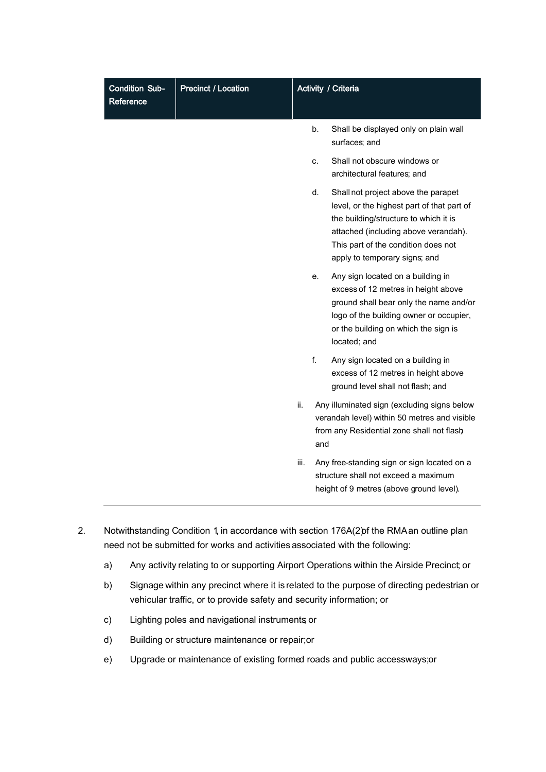| <b>Condition Sub-</b><br>Reference | <b>Precinct / Location</b> | Activity / Criteria                                                                                                                     |                                                                                                                                                 |                                                                                                                                                                                                                                            |
|------------------------------------|----------------------------|-----------------------------------------------------------------------------------------------------------------------------------------|-------------------------------------------------------------------------------------------------------------------------------------------------|--------------------------------------------------------------------------------------------------------------------------------------------------------------------------------------------------------------------------------------------|
|                                    |                            |                                                                                                                                         | b.                                                                                                                                              | Shall be displayed only on plain wall<br>surfaces; and                                                                                                                                                                                     |
|                                    |                            |                                                                                                                                         | C.                                                                                                                                              | Shall not obscure windows or<br>architectural features; and                                                                                                                                                                                |
|                                    |                            |                                                                                                                                         | d.                                                                                                                                              | Shall not project above the parapet<br>level, or the highest part of that part of<br>the building/structure to which it is<br>attached (including above verandah).<br>This part of the condition does not<br>apply to temporary signs; and |
|                                    |                            |                                                                                                                                         | е.                                                                                                                                              | Any sign located on a building in<br>excess of 12 metres in height above<br>ground shall bear only the name and/or<br>logo of the building owner or occupier,<br>or the building on which the sign is<br>located; and                      |
|                                    |                            |                                                                                                                                         | f.                                                                                                                                              | Any sign located on a building in<br>excess of 12 metres in height above<br>ground level shall not flash; and                                                                                                                              |
|                                    |                            | ii.                                                                                                                                     | Any illuminated sign (excluding signs below<br>verandah level) within 50 metres and visible<br>from any Residential zone shall not flash<br>and |                                                                                                                                                                                                                                            |
|                                    |                            | Any free-standing sign or sign located on a<br>iii.<br>structure shall not exceed a maximum<br>height of 9 metres (above ground level). |                                                                                                                                                 |                                                                                                                                                                                                                                            |

- 2. Notwithstanding Condition 1, in accordance with section 176A(2) of the RMA an outline plan need not be submitted for works and activities associated with the following:
	- a) Any activity relating to or supporting Airport Operations within the Airside Precinct; or
	- b) Signage within any precinct where it is related to the purpose of directing pedestrian or vehicular traffic, or to provide safety and security information; or
	- c) Lighting poles and navigational instruments; or
	- d) Building or structure maintenance or repair;or
	- e) Upgrade or maintenance of existing formed roads and public accessways; or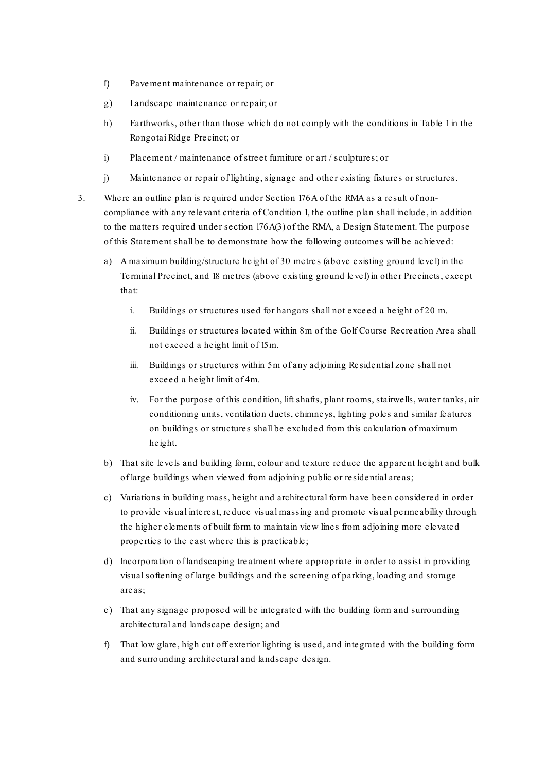- f) Pavement maintenance or repair; or
- g) Landscape maintenance or repair; or
- h) Earthworks, other than those which do not comply with the conditions in Table 1 in the Rongotai Ridge Precinct; or
- i) Placement / maintenance of street furniture or art / sculptures; or
- j) Maintenance or repair of lighting, signage and other existing fixtures or structures.
- 3. Where an outline plan is required under Section 176A of the RMA as a result of noncompliance with any relevant criteria of Condition 1, the outline plan shall include, in addition to the matters required under section 176A(3) of the RMA, a Design Statement. The purpose of this Statement shall be to demonstrate how the following outcomes will be achieved:
	- a) A maximum building/structure height of 30 metres (above existing ground level) in the Terminal Precinct, and 18 metres (above existing ground level) in other Precincts, except that:
		- i. Buildings or structures used for hangars shall not exceed a height of 20 m.
		- ii. Buildings or structures located within 8m of the Golf Course Recreation Area shall not exceed a height limit of 15m.
		- iii. Buildings or structures within 5m of any adjoining Residential zone shall not exceed a height limit of 4m.
		- iv. For the purpose of this condition, lift shafts, plant rooms, stairwells, water tanks, air conditioning units, ventilation ducts, chimneys, lighting poles and similar features on buildings or structures shall be excluded from this calculation of maximum height.
	- b) That site levels and building form, colour and texture reduce the apparent height and bulk of large buildings when viewed from adjoining public or residential areas;
	- c) Variations in building mass, height and architectural form have been considered in order to provide visual interest, reduce visual massing and promote visual permeability through the higher elements of built form to maintain view lines from adjoining more elevated properties to the east where this is practicable ;
	- d) Incorporation of landscaping treatment where appropriate in order to assist in providing visual softening of large buildings and the screening of parking, loading and storage areas;
	- e) That any signage proposed will be integrated with the building form and surrounding architectural and landscape de sign; and
	- f) That low glare, high cut off exterior lighting is used, and integrated with the building form and surrounding architectural and landscape design.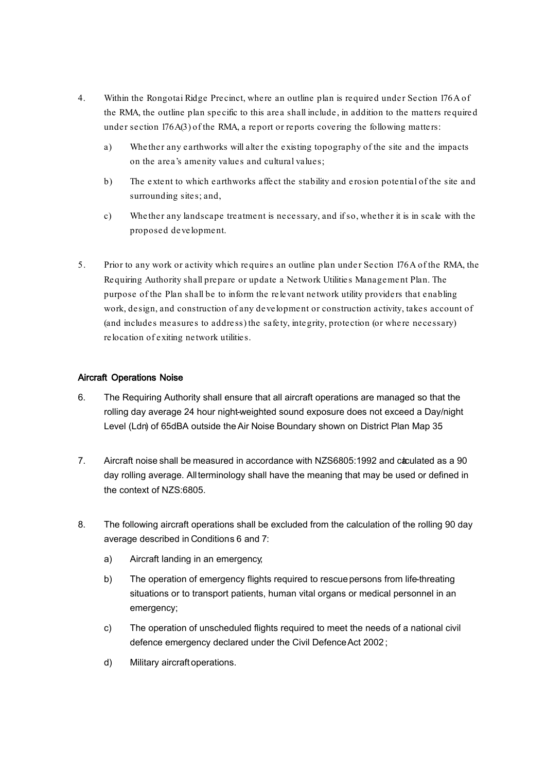- 4. Within the Rongotai Ridge Precinct, where an outline plan is required under Section 176A of the RMA, the outline plan specific to this area shall include , in addition to the matters required under section 176A(3) of the RMA, a report or reports covering the following matters:
	- a) Whether any earthworks will alter the existing topography of the site and the impacts on the area's amenity values and cultural values;
	- b) The extent to which earthworks affect the stability and erosion potential of the site and surrounding sites; and,
	- c) Whether any landscape treatment is necessary, and if so, whether it is in scale with the proposed development.
- 5. Prior to any work or activity which requires an outline plan under Section 176A of the RMA, the Requiring Authority shall prepare or update a Network Utilities Management Plan. The purpose of the Plan shall be to inform the relevant network utility providers that enabling work, design, and construction of any development or construction activity, takes account of (and includes measures to address) the safety, integrity, protection (or where necessary) relocation of exiting ne twork utilities.

### Aircraft Operations Noise

- 6. The Requiring Authority shall ensure that all aircraft operations are managed so that the rolling day average 24 hour night-weighted sound exposure does not exceed a Day/night Level (Ldn) of 65dBA outside the Air Noise Boundary shown on District Plan Map 35.
- 7. Aircraft noise shall be measured in accordance with NZS6805:1992 and caculated as a 90 day rolling average. All terminology shall have the meaning that may be used or defined in the context of NZS:6805.
- 8. The following aircraft operations shall be excluded from the calculation of the rolling 90 day average described in Conditions 6 and 7:
	- a) Aircraft landing in an emergency;
	- b) The operation of emergency flights required to rescue persons from life-threating situations or to transport patients, human vital organs or medical personnel in an emergency;
	- c) The operation of unscheduled flights required to meet the needs of a national civil defence emergency declared under the Civil DefenceAct 2002 ;
	- d) Military aircraft operations.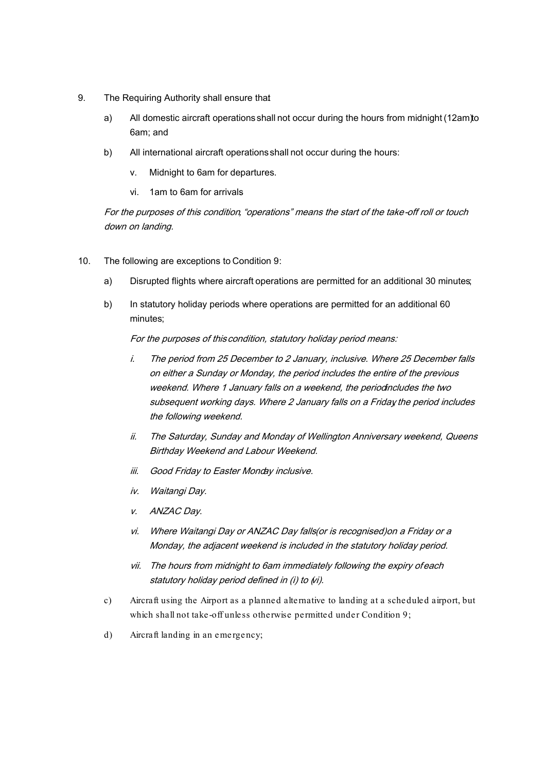- 9. The Requiring Authority shall ensure that:
	- a) All domestic aircraft operations shall not occur during the hours from midnight (12am)to 6am; and
	- b) All international aircraft operations shall not occur during the hours:
		- v. Midnight to 6am for departures.
		- vi. 1am to 6am for arrivals.

For the purposes of this condition, "operations" means the start of the take-off roll or touch down on landing.

- 10. The following are exceptions to Condition 9:
	- a) Disrupted flights where aircraft operations are permitted for an additional 30 minutes;
	- b) In statutory holiday periods where operations are permitted for an additional 60 minutes;

For the purposes of this condition, statutory holiday period means:

- i. The period from 25 December to 2 January, inclusive. Where 25 December falls on either a Sunday or Monday, the period includes the entire of the previous weekend. Where 1 January falls on a weekend, the periodincludes the two subsequent working days. Where 2 January falls on a Friday the period includes the following weekend.
- ii. The Saturday, Sunday and Monday of Wellington Anniversary weekend, Queens Birthday Weekend and Labour Weekend.
- iii. Good Friday to Easter Monday inclusive.
- iv. Waitangi Day.
- v. ANZAC Day.
- vi. Where Waitangi Day or ANZAC Day falls(or is recognised)on a Friday or a Monday, the adjacent weekend is included in the statutory holiday period.
- vii. The hours from midnight to 6am immediately following the expiry ofeach statutory holiday period defined in (i) to (vi).
- c) Aircraft using the Airport as a planned alternative to landing at a scheduled airport, but which shall not take -off unless otherwise permitted under Condition 9;
- d) Aircraft landing in an emergency;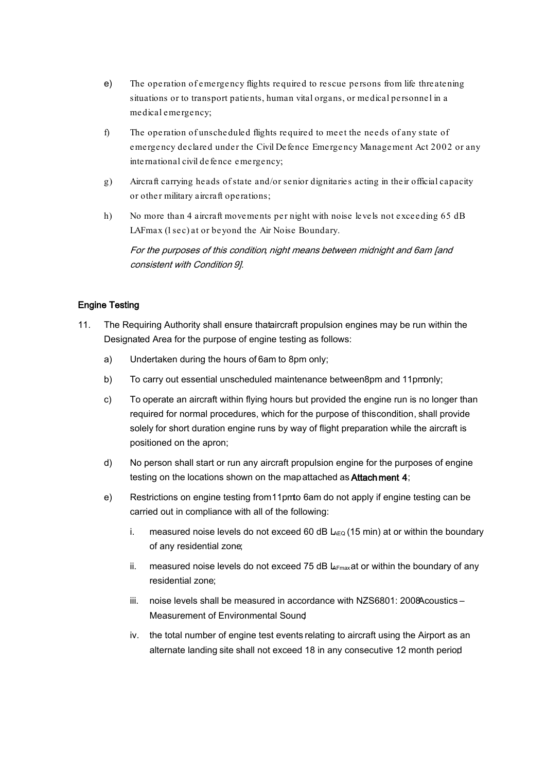- e) The operation of emergency flights required to rescue persons from life threatening situations or to transport patients, human vital organs, or medical personnel in a medical emergency;
- f) The operation of unscheduled flights required to meet the needs of any state of emergency declared under the Civil Defence Emergency Management Act 2002 or any international civil defence emergency;
- g) Aircraft carrying heads of state and/or senior dignitaries acting in their official capacity or other military aircraft operations;
- h) No more than 4 aircraft movements per night with noise levels not exceeding 65 dB LAFmax (1 sec) at or beyond the Air Noise Boundary.

For the purposes of this condition, night means between midnight and 6am [and consistent with Condition 9].

### Engine Testing

- 11. The Requiring Authority shall ensure that aircraft propulsion engines may be run within the Designated Area for the purpose of engine testing as follows:
	- a) Undertaken during the hours of 6am to 8pm only;
	- b) To carry out essential unscheduled maintenance between 8pm and 11pmonly;
	- c) To operate an aircraft within flying hours but provided the engine run is no longer than required for normal procedures, which for the purpose of this condition, shall provide solely for short duration engine runs by way of flight preparation while the aircraft is positioned on the apron;
	- d) No person shall start or run any aircraft propulsion engine for the purposes of engine testing on the locations shown on the map attached as Attach ment 4;
	- e) Restrictions on engine testing from 11pmto 6am do not apply if engine testing can be carried out in compliance with all of the following:
		- i. measured noise levels do not exceed 60 dB  $L_{EQ}$  (15 min) at or within the boundary of any residential zone;
		- ii. measured noise levels do not exceed 75 dB  $L_{Fmax}$  at or within the boundary of any residential zone;
		- $iii.$  noise levels shall be measured in accordance with NZS6801: 2008 Acoustics Measurement of Environmental Sound;
		- iv. the total number of engine test events relating to aircraft using the Airport as an alternate landing site shall not exceed 18 in any consecutive 12 month period;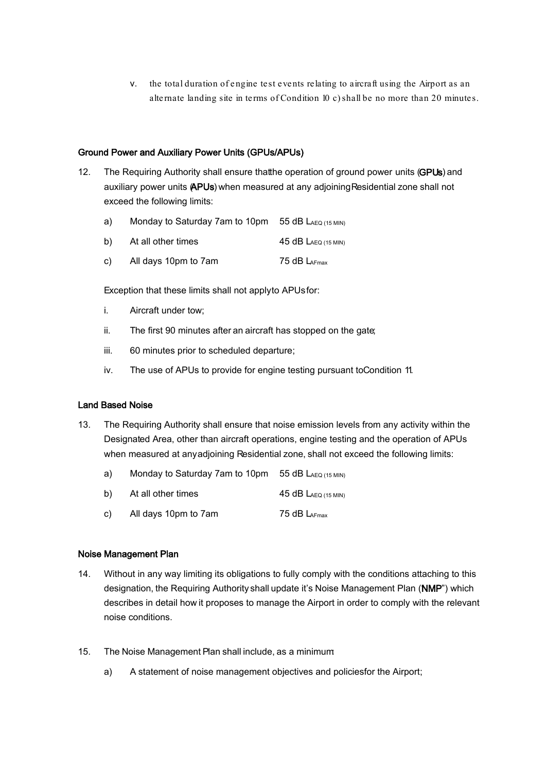v. the total duration of engine test events relating to aircraft using the Airport as an alternate landing site in terms of Condition 10 c) shall be no more than 20 minutes.

#### Ground Power and Auxiliary Power Units (GPUs/APUs)

- 12. The Requiring Authority shall ensure that the operation of ground power units (GPUs) and auxiliary power units (APUs) when measured at any adjoining Residential zone shall not exceed the following limits:
	- a) Monday to Saturday 7am to 10pm 55 dB LAEQ (15 MIN)
	- b) At all other times  $45 dB L_{AEO (15 MIN)}$
	- c) All days 10pm to 7am 75 dB LAFmax

Exception that these limits shall not apply to APUs for:

- i. Aircraft under tow;
- ii. The first 90 minutes after an aircraft has stopped on the gate;
- iii. 60 minutes prior to scheduled departure;
- iv. The use of APUs to provide for engine testing pursuant to Condition 11.

#### Land Based Noise

- 13. The Requiring Authority shall ensure that noise emission levels from any activity within the Designated Area, other than aircraft operations, engine testing and the operation of APUs when measured at any adjoining Residential zone, shall not exceed the following limits:
	- a) Monday to Saturday 7am to 10pm 55 dB LAEQ (15 MIN)
	- b) At all other times  $45 dB L_{AEQ (15 MIN)}$
	- c) All days 10pm to 7am  $75 dB L_{AFmax}$

#### Noise Management Plan

- 14. Without in any way limiting its obligations to fully comply with the conditions attaching to this designation, the Requiring Authority shall update it's Noise Management Plan (NMP") which describes in detail how it proposes to manage the Airport in order to comply with the relevant noise conditions.
- 15. The Noise Management Plan shall include, as a minimum:
	- a) A statement of noise management objectives and policiesfor the Airport;